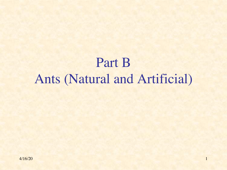# Part B Ants (Natural and Artificial)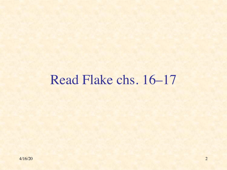#### Read Flake chs. 16–17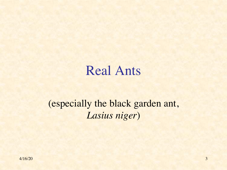#### Real Ants

#### (especially the black garden ant, *Lasius niger*)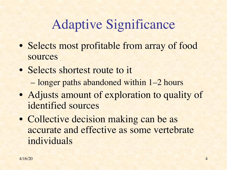# Adaptive Significance

- Selects most profitable from array of food sources
- Selects shortest route to it – longer paths abandoned within 1–2 hours
- Adjusts amount of exploration to quality of identified sources
- Collective decision making can be as accurate and effective as some vertebrate individuals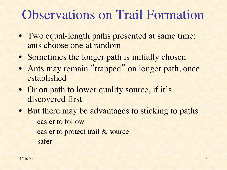# Observations on Trail Formation

- Two equal-length paths presented at same time: ants choose one at random
- Sometimes the longer path is initially chosen
- Ants may remain "trapped" on longer path, once established
- Or on path to lower quality source, if it's discovered first
- But there may be advantages to sticking to paths
	- easier to follow
	- easier to protect trail & source
	- safer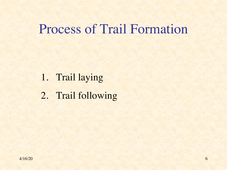#### Process of Trail Formation

- 1. Trail laying
- 2. Trail following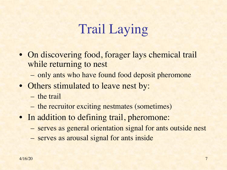# Trail Laying

- On discovering food, forager lays chemical trail while returning to nest
	- only ants who have found food deposit pheromone
- Others stimulated to leave nest by:
	- the trail
	- the recruitor exciting nestmates (sometimes)
- In addition to defining trail, pheromone:
	- serves as general orientation signal for ants outside nest
	- serves as arousal signal for ants inside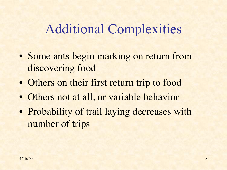#### Additional Complexities

- Some ants begin marking on return from discovering food
- Others on their first return trip to food
- Others not at all, or variable behavior
- Probability of trail laying decreases with number of trips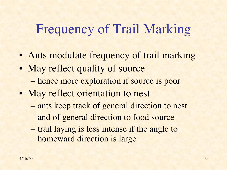# Frequency of Trail Marking

- Ants modulate frequency of trail marking
- May reflect quality of source – hence more exploration if source is poor
- May reflect orientation to nest
	- ants keep track of general direction to nest
	- and of general direction to food source
	- trail laying is less intense if the angle to homeward direction is large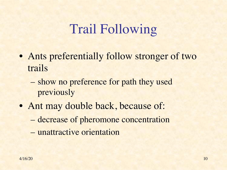# Trail Following

- Ants preferentially follow stronger of two trails
	- show no preference for path they used previously
- Ant may double back, because of:
	- decrease of pheromone concentration
	- unattractive orientation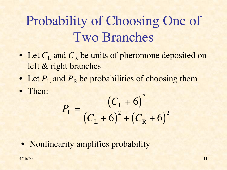# Probability of Choosing One of Two Branches

- Let  $C_{\text{L}}$  and  $C_{\text{R}}$  be units of pheromone deposited on left & right branches
- Let  $P_{\text{L}}$  and  $P_{\text{R}}$  be probabilities of choosing them
- Then:

$$
P_{\rm L} = \frac{(C_{\rm L} + 6)^2}{(C_{\rm L} + 6)^2 + (C_{\rm R} + 6)^2}
$$

• Nonlinearity amplifies probability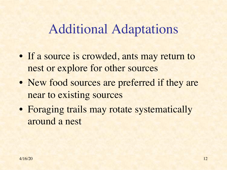#### Additional Adaptations

- If a source is crowded, ants may return to nest or explore for other sources
- New food sources are preferred if they are near to existing sources
- Foraging trails may rotate systematically around a nest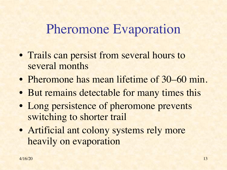#### Pheromone Evaporation

- Trails can persist from several hours to several months
- Pheromone has mean lifetime of 30–60 min.
- But remains detectable for many times this
- Long persistence of pheromone prevents switching to shorter trail
- Artificial ant colony systems rely more heavily on evaporation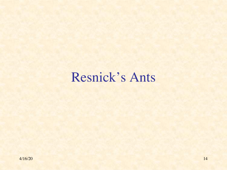# Resnick's Ants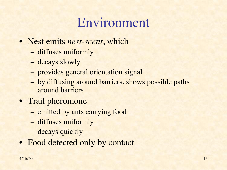## Environment

- Nest emits *nest-scent*, which
	- diffuses uniformly
	- decays slowly
	- provides general orientation signal
	- by diffusing around barriers, shows possible paths around barriers
- Trail pheromone
	- emitted by ants carrying food
	- diffuses uniformly
	- decays quickly
- Food detected only by contact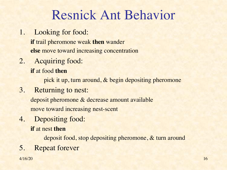## Resnick Ant Behavior

1. Looking for food:

**if** trail pheromone weak **then** wander **else** move toward increasing concentration

2. Acquiring food:

**if** at food **then**

pick it up, turn around, & begin depositing pheromone

3. Returning to nest:

deposit pheromone & decrease amount available move toward increasing nest-scent

4. Depositing food:

**if** at nest **then**

deposit food, stop depositing pheromone, & turn around

5. Repeat forever

 $4/16/20$  16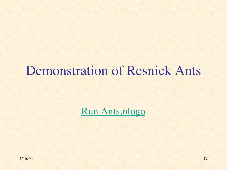## Demonstration of Resnick Ant

Run Ants.nlogo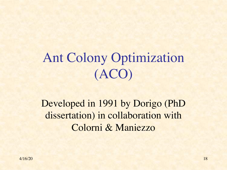# Ant Colony Optimization (ACO)

#### Developed in 1991 by Dorigo (PhD dissertation) in collaboration with Colorni & Maniezzo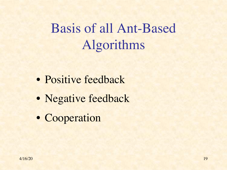# Basis of all Ant-Based Algorithms

- Positive feedback
- Negative feedback
- Cooperation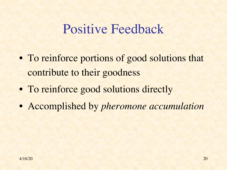#### Positive Feedback

- To reinforce portions of good solutions that contribute to their goodness
- To reinforce good solutions directly
- Accomplished by *pheromone accumulation*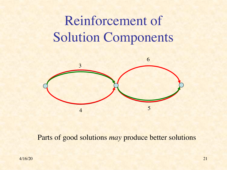# Reinforcement of Solution Components



Parts of good solutions *may* produce better solutions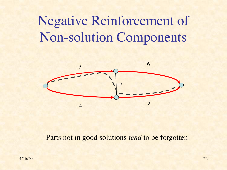# Negative Reinforcement of Non-solution Components



#### Parts not in good solutions *tend* to be forgotten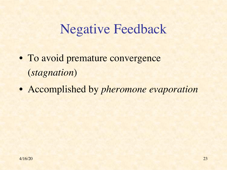### Negative Feedback

- To avoid premature convergence (*stagnation*)
- Accomplished by *pheromone evaporation*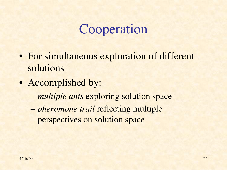# Cooperation

- For simultaneous exploration of different solutions
- Accomplished by:
	- *multiple ants* exploring solution space
	- *pheromone trail* reflecting multiple perspectives on solution space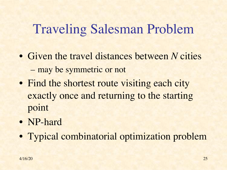# Traveling Salesman Problem

- Given the travel distances between *N* cities – may be symmetric or not
- Find the shortest route visiting each city exactly once and returning to the starting point
- NP-hard
- Typical combinatorial optimization problem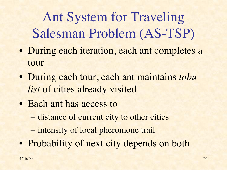Ant System for Traveling Salesman Problem (AS-TSP)

- During each iteration, each ant completes a tour
- During each tour, each ant maintains *tabu list* of cities already visited
- Each ant has access to
	- distance of current city to other cities
	- intensity of local pheromone trail
- Probability of next city depends on both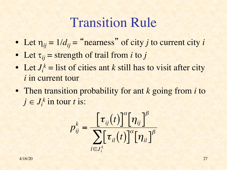#### Transition Rule

- Let  $\eta_{ij} = 1/d_{ij} =$  "nearness" of city *j* to current city *i*
- Let  $\tau_{ij}$  = strength of trail from *i* to *j*
- Let  $J_i^k$  = list of cities ant *k* still has to visit after city *i* in current tour
- Then transition probability for ant *k* going from *i* to  $j \in J_i^k$  in tour *t* is:

$$
p_{ij}^k = \frac{\left[\tau_{ij}(t)\right]^{\alpha} \left[\eta_{ij}\right]^{\beta}}{\sum_{l \in J_i^k} \left[\tau_{il}(t)\right]^{\alpha} \left[\eta_{il}\right]^{\beta}}
$$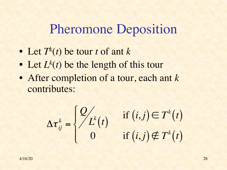#### Pheromone Deposition

- Let  $T^k(t)$  be tour *t* of ant  $k$
- Let  $L^k(t)$  be the length of this tour
- After completion of a tour, each ant *k* contributes:

$$
\Delta \tau_{ij}^k = \begin{cases} \frac{Q}{L^k(t)} \\ 0 \end{cases}
$$

$$
L^{k}(t) \quad \text{if } (i,j) \in T^{k}(t) \\ 0 \quad \text{if } (i,j) \notin T^{k}(t)
$$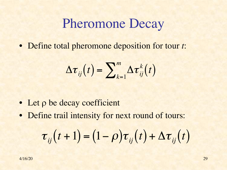#### Pheromone Decay

• Define total pheromone deposition for tour *t*:

$$
\Delta \boldsymbol{\tau}_{ij}(t) = \sum\nolimits_{k=1}^m \Delta \boldsymbol{\tau}_{ij}^k(t)
$$

- $\bullet$  Let  $\rho$  be decay coefficient
- Define trail intensity for next round of tours:

$$
\tau_{ij}(t+1) = (1-\rho)\tau_{ij}(t) + \Delta\tau_{ij}(t)
$$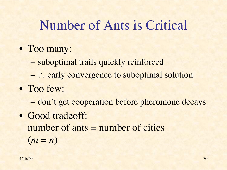### Number of Ants is Critical

- Too many:
	- suboptimal trails quickly reinforced
	- $-$ : early convergence to suboptimal solution
- Too few:
	- don't get cooperation before pheromone decays
- Good tradeoff: number of ants = number of cities  $(m = n)$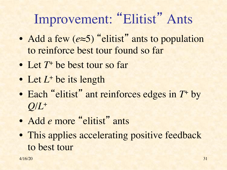# Improvement: "Elitist" Ants

- Add a few (*e*≈5) "elitist" ants to population to reinforce best tour found so far
- Let  $T^+$  be best tour so far
- Let *L*<sup>+</sup> be its length
- Each "elitist" ant reinforces edges in  $T^*$  by  $Q/L$ +
- Add *e* more "elitist" ants
- This applies accelerating positive feedback to best tour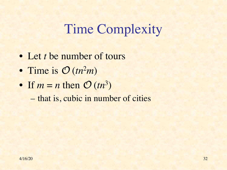# Time Complexity

- Let *t* be number of tours
- Time is *O* (*tn*<sup>2</sup>*m*)
- If  $m = n$  then  $O(tn^3)$ 
	- that is, cubic in number of cities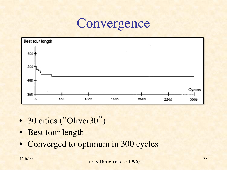#### **Convergence**



- 30 cities ("Oliver30")
- Best tour length
- Converged to optimum in 300 cycles

 $\frac{4}{16/20}$   $\frac{6}{16}$   $\frac{1}{1006}$   $\frac{1}{1006}$   $\frac{33}{1006}$ fig. < Dorigo et al. (1996)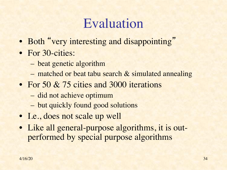## Evaluation

- Both "very interesting and disappointing"
- For 30-cities:
	- beat genetic algorithm
	- matched or beat tabu search & simulated annealing
- For 50 & 75 cities and 3000 iterations
	- did not achieve optimum
	- but quickly found good solutions
- I.e., does not scale up well
- Like all general-purpose algorithms, it is outperformed by special purpose algorithms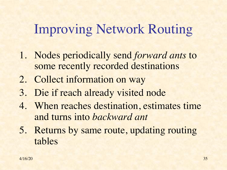# Improving Network Routing

- 1. Nodes periodically send *forward ants* to some recently recorded destinations
- 2. Collect information on way
- 3. Die if reach already visited node
- 4. When reaches destination, estimates time and turns into *backward ant*
- 5. Returns by same route, updating routing tables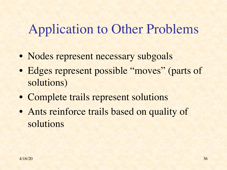# Application to Other Problems

- Nodes represent necessary subgoals
- Edges represent possible "moves" (parts of solutions)
- Complete trails represent solutions
- Ants reinforce trails based on quality of solutions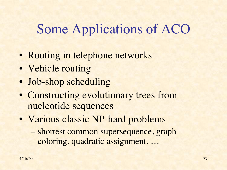# Some Applications of ACO

- Routing in telephone networks
- Vehicle routing
- Job-shop scheduling
- Constructing evolutionary trees from nucleotide sequences
- Various classic NP-hard problems
	- shortest common supersequence, graph coloring, quadratic assignment, …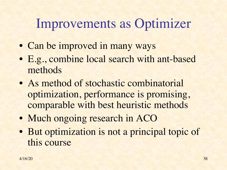### Improvements as Optimizer

- Can be improved in many ways
- E.g., combine local search with ant-based methods
- As method of stochastic combinatorial optimization, performance is promising, comparable with best heuristic methods
- Much ongoing research in ACO
- But optimization is not a principal topic of this course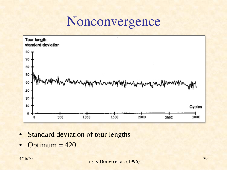#### Nonconvergence



- Standard deviation of tour lengths
- Optimum  $= 420$

 $\frac{4}{16/20}$   $\frac{5}{16}$   $\frac{1}{1006}$   $\frac{1}{1006}$   $\frac{39}{1006}$ fig. < Dorigo et al. (1996)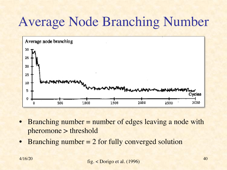# Average Node Branching Number



- Branching number = number of edges leaving a node with pheromone > threshold
- **Branching number = 2 for fully converged solution**

 $\frac{4}{16/20}$   $\frac{4}{16}$   $\frac{1}{1006}$   $\frac{40}{1006}$ fig. < Dorigo et al. (1996)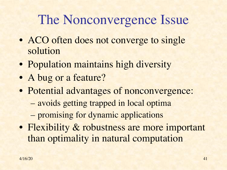# The Nonconvergence Issue

- ACO often does not converge to single solution
- Population maintains high diversity
- A bug or a feature?
- Potential advantages of nonconvergence:
	- avoids getting trapped in local optima
	- promising for dynamic applications
- Flexibility & robustness are more important than optimality in natural computation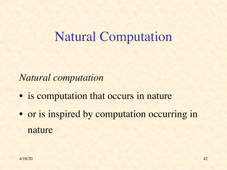#### Natural Computation

*Natural computation*

- is computation that occurs in nature
- or is inspired by computation occurring in nature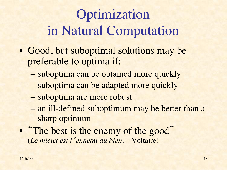# Optimization in Natural Computation

- Good, but suboptimal solutions may be preferable to optima if:
	- suboptima can be obtained more quickly
	- suboptima can be adapted more quickly
	- suboptima are more robust
	- an ill-defined suboptimum may be better than a sharp optimum
- "The best is the enemy of the good" (*Le mieux est l*'*ennemi du bien*. – Voltaire)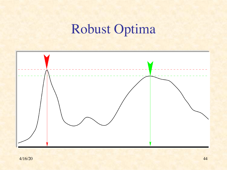# Robust Optima